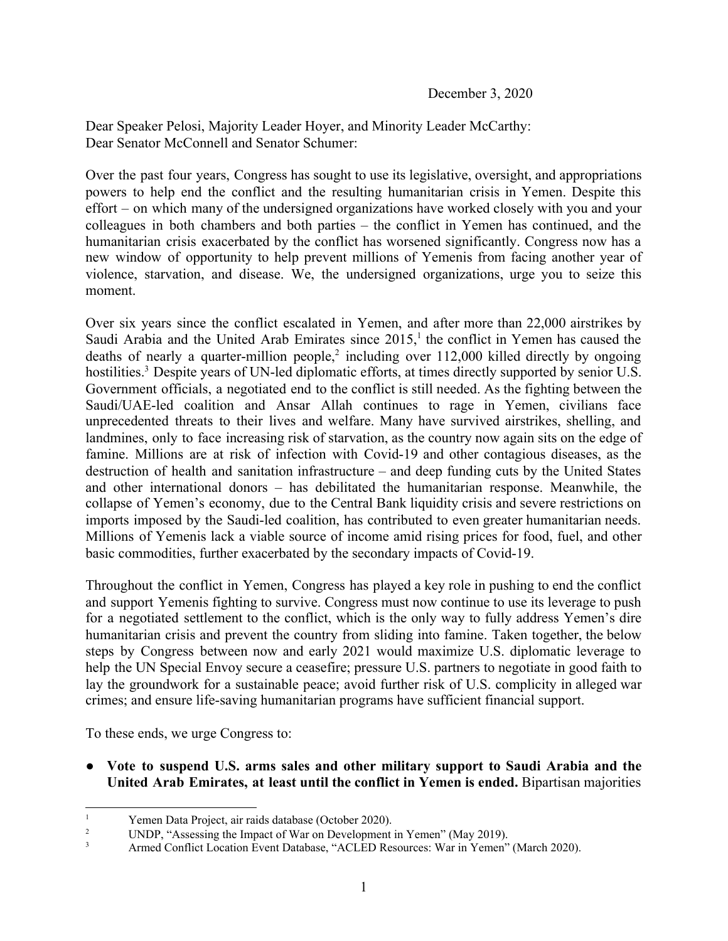Dear Speaker Pelosi, Majority Leader Hoyer, and Minority Leader McCarthy: Dear Senator McConnell and Senator Schumer:

Over the past four years, Congress has sought to use its legislative, oversight, and appropriations powers to help end the conflict and the resulting humanitarian crisis in Yemen. Despite this effort – on which many of the undersigned organizations have worked closely with you and your colleagues in both chambers and both parties – the conflict in Yemen has continued, and the humanitarian crisis exacerbated by the conflict has worsened significantly. Congress now has a new window of opportunity to help prevent millions of Yemenis from facing another year of violence, starvation, and disease. We, the undersigned organizations, urge you to seize this moment.

Over six years since the conflict escalated in Yemen, and after more than 22,000 airstrikes by Saudi Arabia and the United Arab Emirates since  $2015$ ,<sup>1</sup> the conflict in Yemen has caused the deaths of nearly a quarter-million people,<sup>2</sup> including over  $112,000$  killed directly by ongoing hostilities.<sup>3</sup> Despite years of UN-led diplomatic efforts, at times directly supported by senior U.S. Government officials, a negotiated end to the conflict is still needed. As the fighting between the Saudi/UAE-led coalition and Ansar Allah continues to rage in Yemen, civilians face unprecedented threats to their lives and welfare. Many have survived airstrikes, shelling, and landmines, only to face increasing risk of starvation, as the country now again sits on the edge of famine. Millions are at risk of infection with Covid-19 and other contagious diseases, as the destruction of health and sanitation infrastructure – and deep funding cuts by the United States and other international donors – has debilitated the humanitarian response. Meanwhile, the collapse of Yemen's economy, due to the Central Bank liquidity crisis and severe restrictions on imports imposed by the Saudi-led coalition, has contributed to even greater humanitarian needs. Millions of Yemenis lack a viable source of income amid rising prices for food, fuel, and other basic commodities, further exacerbated by the secondary impacts of Covid-19.

Throughout the conflict in Yemen, Congress has played a key role in pushing to end the conflict and support Yemenis fighting to survive. Congress must now continue to use its leverage to push for a negotiated settlement to the conflict, which is the only way to fully address Yemen's dire humanitarian crisis and prevent the country from sliding into famine. Taken together, the below steps by Congress between now and early 2021 would maximize U.S. diplomatic leverage to help the UN Special Envoy secure a ceasefire; pressure U.S. partners to negotiate in good faith to lay the groundwork for a sustainable peace; avoid further risk of U.S. complicity in alleged war crimes; and ensure life-saving humanitarian programs have sufficient financial support.

To these ends, we urge Congress to:

● **Vote to suspend U.S. arms sales and other military support to Saudi Arabia and the United Arab Emirates, at least until the conflict in Yemen is ended.** Bipartisan majorities

<sup>&</sup>lt;sup>1</sup><br>
<sup>1</sup> Yemen Data Project, air raids database (October 2020).<br>
<sup>2</sup> INDP "Accessing the Impact of War on Davelopment

<sup>&</sup>lt;sup>2</sup> UNDP, "Assessing the Impact of War on Development in Yemen" (May 2019).

<sup>3</sup> Armed Conflict Location Event Database, "ACLED Resources: War in Yemen" (March 2020).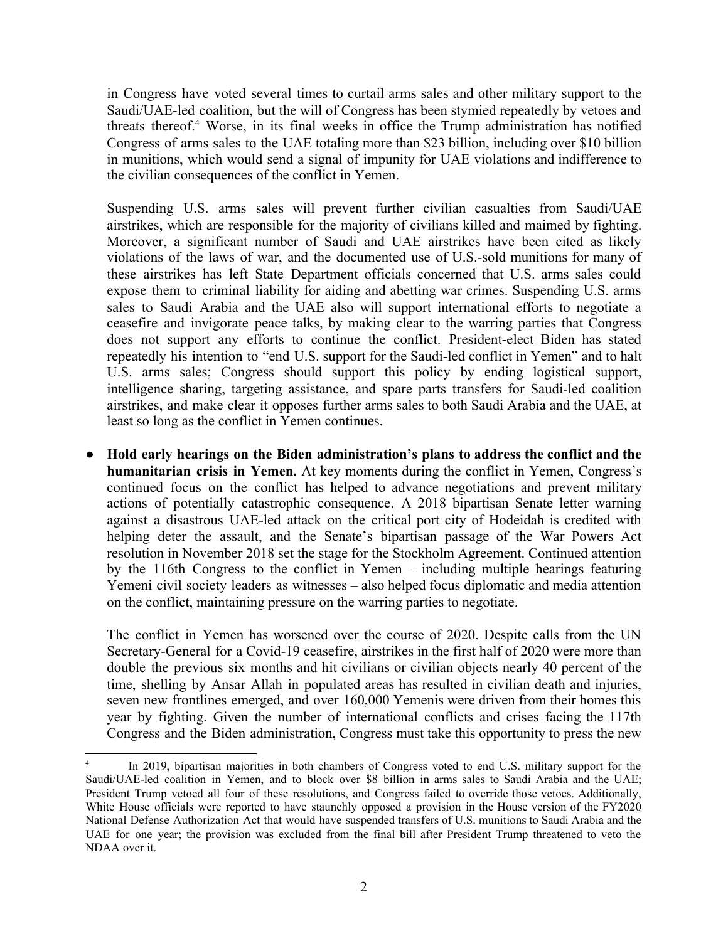in Congress have voted several times to curtail arms sales and other military support to the Saudi/UAE-led coalition, but the will of Congress has been stymied repeatedly by vetoes and threats thereof.<sup>4</sup> Worse, in its final weeks in office the Trump administration has notified Congress of arms sales to the UAE totaling more than \$23 billion, including over \$10 billion in munitions, which would send a signal of impunity for UAE violations and indifference to the civilian consequences of the conflict in Yemen.

Suspending U.S. arms sales will prevent further civilian casualties from Saudi/UAE airstrikes, which are responsible for the majority of civilians killed and maimed by fighting. Moreover, a significant number of Saudi and UAE airstrikes have been cited as likely violations of the laws of war, and the documented use of U.S.-sold munitions for many of these airstrikes has left State Department officials concerned that U.S. arms sales could expose them to criminal liability for aiding and abetting war crimes. Suspending U.S. arms sales to Saudi Arabia and the UAE also will support international efforts to negotiate a ceasefire and invigorate peace talks, by making clear to the warring parties that Congress does not support any efforts to continue the conflict. President-elect Biden has stated repeatedly his intention to "end U.S. support for the Saudi-led conflict in Yemen" and to halt U.S. arms sales; Congress should support this policy by ending logistical support, intelligence sharing, targeting assistance, and spare parts transfers for Saudi-led coalition airstrikes, and make clear it opposes further arms sales to both Saudi Arabia and the UAE, at least so long as the conflict in Yemen continues.

● **Hold early hearings on the Biden administration's plans to address the conflict and the humanitarian crisis in Yemen.** At key moments during the conflict in Yemen, Congress's continued focus on the conflict has helped to advance negotiations and prevent military actions of potentially catastrophic consequence. A 2018 bipartisan Senate letter warning against a disastrous UAE-led attack on the critical port city of Hodeidah is credited with helping deter the assault, and the Senate's bipartisan passage of the War Powers Act resolution in November 2018 set the stage for the Stockholm Agreement. Continued attention by the 116th Congress to the conflict in Yemen – including multiple hearings featuring Yemeni civil society leaders as witnesses – also helped focus diplomatic and media attention on the conflict, maintaining pressure on the warring parties to negotiate.

The conflict in Yemen has worsened over the course of 2020. Despite calls from the UN Secretary-General for a Covid-19 ceasefire, airstrikes in the first half of 2020 were more than double the previous six months and hit civilians or civilian objects nearly 40 percent of the time, shelling by Ansar Allah in populated areas has resulted in civilian death and injuries, seven new frontlines emerged, and over 160,000 Yemenis were driven from their homes this year by fighting. Given the number of international conflicts and crises facing the 117th Congress and the Biden administration, Congress must take this opportunity to press the new

<sup>4</sup> In 2019, bipartisan majorities in both chambers of Congress voted to end U.S. military support for the Saudi/UAE-led coalition in Yemen, and to block over \$8 billion in arms sales to Saudi Arabia and the UAE; President Trump vetoed all four of these resolutions, and Congress failed to override those vetoes. Additionally, White House officials were reported to have staunchly opposed a provision in the House version of the FY2020 National Defense Authorization Act that would have suspended transfers of U.S. munitions to Saudi Arabia and the UAE for one year; the provision was excluded from the final bill after President Trump threatened to veto the NDAA over it.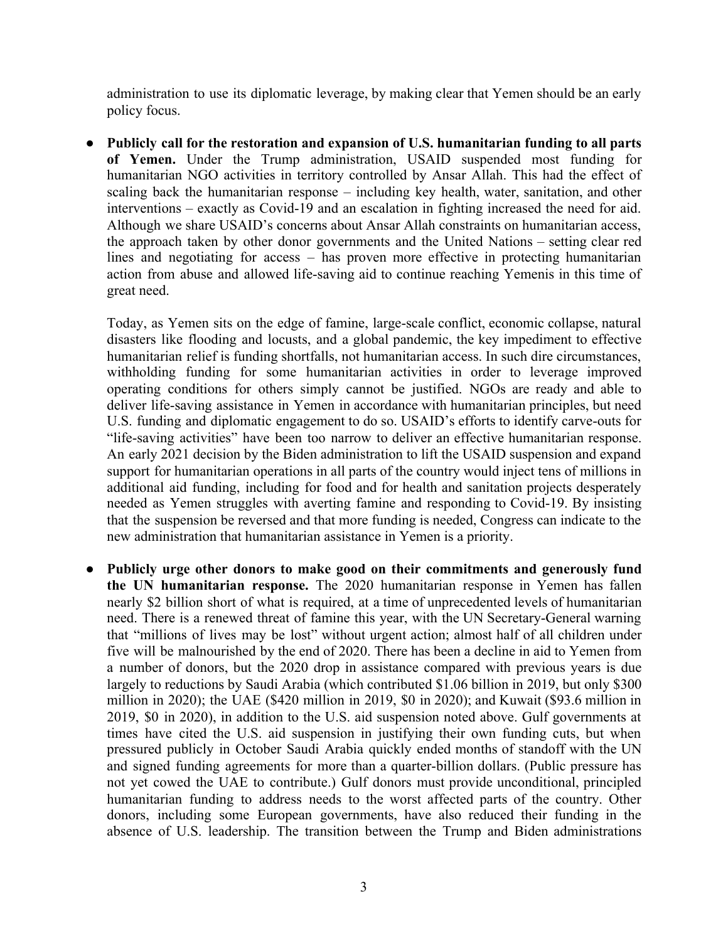administration to use its diplomatic leverage, by making clear that Yemen should be an early policy focus.

● **Publicly call for the restoration and expansion of U.S. humanitarian funding to all parts of Yemen.** Under the Trump administration, USAID suspended most funding for humanitarian NGO activities in territory controlled by Ansar Allah. This had the effect of scaling back the humanitarian response – including key health, water, sanitation, and other interventions – exactly as Covid-19 and an escalation in fighting increased the need for aid. Although we share USAID's concerns about Ansar Allah constraints on humanitarian access, the approach taken by other donor governments and the United Nations – setting clear red lines and negotiating for access – has proven more effective in protecting humanitarian action from abuse and allowed life-saving aid to continue reaching Yemenis in this time of great need.

Today, as Yemen sits on the edge of famine, large-scale conflict, economic collapse, natural disasters like flooding and locusts, and a global pandemic, the key impediment to effective humanitarian relief is funding shortfalls, not humanitarian access. In such dire circumstances, withholding funding for some humanitarian activities in order to leverage improved operating conditions for others simply cannot be justified. NGOs are ready and able to deliver life-saving assistance in Yemen in accordance with humanitarian principles, but need U.S. funding and diplomatic engagement to do so. USAID's efforts to identify carve-outs for "life-saving activities" have been too narrow to deliver an effective humanitarian response. An early 2021 decision by the Biden administration to lift the USAID suspension and expand support for humanitarian operations in all parts of the country would inject tens of millions in additional aid funding, including for food and for health and sanitation projects desperately needed as Yemen struggles with averting famine and responding to Covid-19. By insisting that the suspension be reversed and that more funding is needed, Congress can indicate to the new administration that humanitarian assistance in Yemen is a priority.

● **Publicly urge other donors to make good on their commitments and generously fund the UN humanitarian response.** The 2020 humanitarian response in Yemen has fallen nearly \$2 billion short of what is required, at a time of unprecedented levels of humanitarian need. There is a renewed threat of famine this year, with the UN Secretary-General warning that "millions of lives may be lost" without urgent action; almost half of all children under five will be malnourished by the end of 2020. There has been a decline in aid to Yemen from a number of donors, but the 2020 drop in assistance compared with previous years is due largely to reductions by Saudi Arabia (which contributed \$1.06 billion in 2019, but only \$300 million in 2020); the UAE (\$420 million in 2019, \$0 in 2020); and Kuwait (\$93.6 million in 2019, \$0 in 2020), in addition to the U.S. aid suspension noted above. Gulf governments at times have cited the U.S. aid suspension in justifying their own funding cuts, but when pressured publicly in October Saudi Arabia quickly ended months of standoff with the UN and signed funding agreements for more than a quarter-billion dollars. (Public pressure has not yet cowed the UAE to contribute.) Gulf donors must provide unconditional, principled humanitarian funding to address needs to the worst affected parts of the country. Other donors, including some European governments, have also reduced their funding in the absence of U.S. leadership. The transition between the Trump and Biden administrations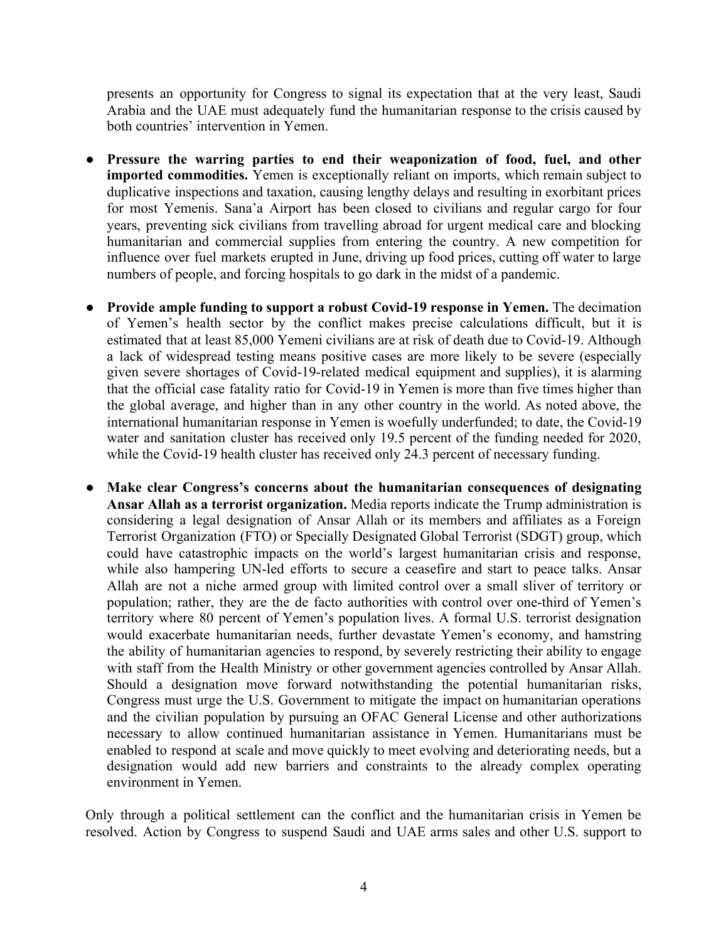presents an opportunity for Congress to signal its expectation that at the very least, Saudi Arabia and the UAE must adequately fund the humanitarian response to the crisis caused by both countries' intervention in Yemen.

- **● Pressure the warring parties to end their weaponization of food, fuel, and other imported commodities.** Yemen is exceptionally reliant on imports, which remain subject to duplicative inspections and taxation, causing lengthy delays and resulting in exorbitant prices for most Yemenis. Sana'a Airport has been closed to civilians and regular cargo for four years, preventing sick civilians from travelling abroad for urgent medical care and blocking humanitarian and commercial supplies from entering the country. A new competition for influence over fuel markets erupted in June, driving up food prices, cutting off water to large numbers of people, and forcing hospitals to go dark in the midst of a pandemic.
- **Provide ample funding to support a robust Covid-19 response in Yemen.** The decimation of Yemen's health sector by the conflict makes precise calculations difficult, but it is estimated that at least 85,000 Yemeni civilians are at risk of death due to Covid-19. Although a lack of widespread testing means positive cases are more likely to be severe (especially given severe shortages of Covid-19-related medical equipment and supplies), it is alarming that the official case fatality ratio for Covid-19 in Yemen is more than five times higher than the global average, and higher than in any other country in the world. As noted above, the international humanitarian response in Yemen is woefully underfunded; to date, the Covid-19 water and sanitation cluster has received only 19.5 percent of the funding needed for 2020, while the Covid-19 health cluster has received only 24.3 percent of necessary funding.
- **Make clear Congress's concerns about the humanitarian consequences of designating Ansar Allah as a terrorist organization.** Media reports indicate the Trump administration is considering a legal designation of Ansar Allah or its members and affiliates as a Foreign Terrorist Organization (FTO) or Specially Designated Global Terrorist (SDGT) group, which could have catastrophic impacts on the world's largest humanitarian crisis and response, while also hampering UN-led efforts to secure a ceasefire and start to peace talks. Ansar Allah are not a niche armed group with limited control over a small sliver of territory or population; rather, they are the de facto authorities with control over one-third of Yemen's territory where 80 percent of Yemen's population lives. A formal U.S. terrorist designation would exacerbate humanitarian needs, further devastate Yemen's economy, and hamstring the ability of humanitarian agencies to respond, by severely restricting their ability to engage with staff from the Health Ministry or other government agencies controlled by Ansar Allah. Should a designation move forward notwithstanding the potential humanitarian risks, Congress must urge the U.S. Government to mitigate the impact on humanitarian operations and the civilian population by pursuing an OFAC General License and other authorizations necessary to allow continued humanitarian assistance in Yemen. Humanitarians must be enabled to respond at scale and move quickly to meet evolving and deteriorating needs, but a designation would add new barriers and constraints to the already complex operating environment in Yemen.

Only through a political settlement can the conflict and the humanitarian crisis in Yemen be resolved. Action by Congress to suspend Saudi and UAE arms sales and other U.S. support to